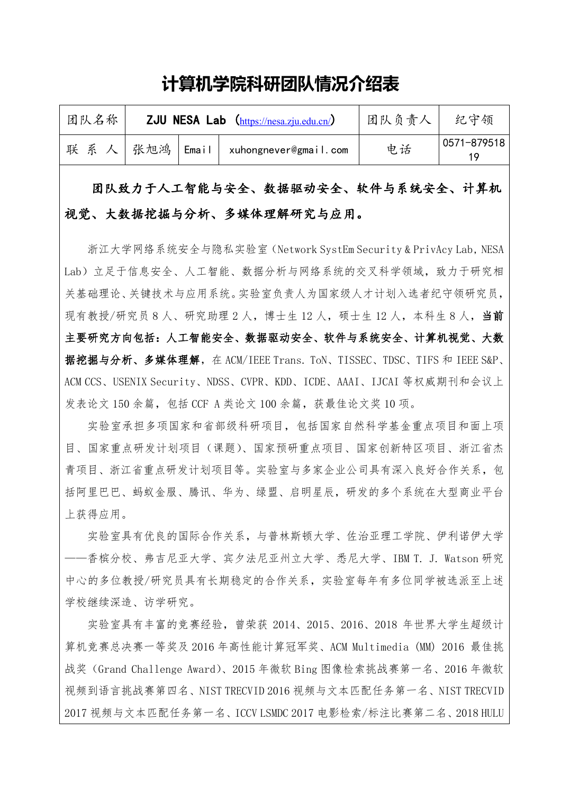## 计算机学院科研团队情况介绍表

| 团队名称 | ZJU NESA Lab (https://nesa.zju.edu.cn/) |                                               |    | 纪守领         |
|------|-----------------------------------------|-----------------------------------------------|----|-------------|
| 联系人  |                                         | <sup>'</sup> 张旭鸿 Email  xuhongnever@gmail.com | 电话 | 0571-879518 |

团队致力于人工智能与安全、数据驱动安全、软件与系统安全、计算机 视觉、大数据挖掘与分析、多媒体理解研究与应用。

浙江大学网络系统安全与隐私实验室 (Network SystEm Security & PrivAcy Lab, NESA Lab)立足于信息安全、人工智能、数据分析与网络系统的交叉科学领域,致力于研究相 关基础理论、关键技术与应用系统。实验室负责人为国家级人才计划入选者纪守领研究员, 现有教授/研究员8人、研究助理2人, 博十生12人, 硕十生12人, 本科生8人, 当前 主要研究方向包括: 人工智能安全、数据驱动安全、软件与系统安全、计算机视觉、大数 据挖掘与分析、多媒体理解, 在 ACM/IEEE Trans. ToN、TISSEC、TDSC、TIFS 和 IEEE S&P、 ACM CCS、USENIX Security、NDSS、CVPR、KDD、ICDE、AAAI、IJCAI 等权威期刊和会议上 发表论文 150 余篇, 包括 CCF A 类论文 100 余篇, 获最佳论文奖 10 项。

实验室承担多项国家和省部级科研项目,包括国家自然科学基金重点项目和面上项 目、国家重点研发计划项目(课题)、国家预研重点项目、国家创新特区项目、浙江省杰 青项目、浙江省重点研发计划项目等。实验室与多家企业公司具有深入良好合作关系,包 括阿里巴巴、蚂蚁金服、腾讯、华为、绿盟、启明星辰,研发的多个系统在大型商业平台 上获得应用。

实验室具有优良的国际合作关系。与普林斯顿大学、佐治亚理工学院、伊利诺伊大学 --香槟分校、弗吉尼亚大学、宾夕法尼亚州立大学、悉尼大学、IBM T. J. Watson 研究 中心的多位教授/研究员具有长期稳定的合作关系,实验室每年有多位同学被选派至上述 学校继续深造、访学研究。

实验室具有丰富的竞赛经验, 曾荣获 2014、2015、2016、2018 年世界大学生超级计 算机竞赛总决赛一等奖及 2016 年高性能计算冠军奖、ACM Multimedia (MM) 2016 最佳挑 战奖 (Grand Challenge Award)、2015 年微软 Bing 图像检索挑战赛第一名、2016 年微软 视频到语言挑战赛第四名、NIST TRECVID 2016 视频与文本匹配任务第一名、NIST TRECVID 2017 视频与文本匹配任务第一名、ICCV LSMDC 2017 电影检索/标注比赛第二名、2018 HULU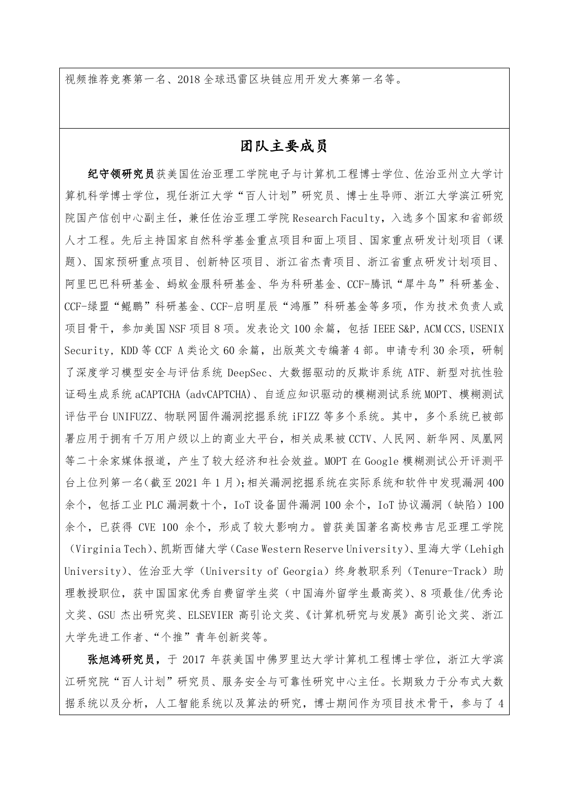视频推荐竞赛第一名、2018 全球迅雷区块链应用开发大赛第一名等。

## 团队主要成员

纪守领研究员获美国佐治亚理工学院电子与计算机工程博士学位、佐治亚州立大学计 算机科学博士学位, 现任浙江大学"百人计划"研究员、博士生导师、浙江大学滨江研究 院国产信创中心副主任, 兼任佐治亚理工学院 Research Faculty, 入选多个国家和省部级 人才工程。先后主持国家自然科学基金重点项目和面上项目、国家重点研发计划项目(课 题)、国家预研重点项目、创新特区项目、浙江省杰青项目、浙江省重点研发计划项目、 阿里巴巴科研基金、蚂蚁金服科研基金、华为科研基金、CCF-腾讯"犀牛鸟"科研基金、 CCF-绿盟"鲲鹏"科研基金、CCF-启明星辰"鸿雁"科研基金等多项,作为技术负责人或 项目骨干, 参加美国 NSF 项目 8 项。发表论文 100 余篇, 包括 IEEE S&P, ACM CCS, USENIX Security, KDD 等 CCF A 类论文 60 余篇, 出版英文专编著 4 部。申请专利 30 余项, 研制 了深度学习模型安全与评估系统 DeepSec、大数据驱动的反欺诈系统 ATF、新型对抗性验 证码生成系统 aCAPTCHA(advCAPTCHA)、自适应知识驱动的模糊测试系统 MOPT、模糊测试 评估平台 UNIFUZZ、物联网固件漏洞挖掘系统 iFIZZ 等多个系统。其中,多个系统已被部 署应用于拥有千万用户级以上的商业大平台,相关成果被 CCTV、人民网、新华网、凤凰网 等二十余家媒体报道, 产生了较大经济和社会效益。MOPT 在 Google 模糊测试公开评测平 台上位列第一名(截至2021年1月):相关漏洞挖掘系统在实际系统和软件中发现漏洞400 余个, 包括工业 PLC 漏洞数十个, IoT 设备固件漏洞 100 余个, IoT 协议漏洞 (缺陷) 100 余个, 已获得 CVE 100 余个, 形成了较大影响力。曾获美国著名高校弗吉尼亚理工学院 (Virginia Tech)、凯斯西储大学(Case Western Reserve University)、里海大学(Lehigh University)、佐治亚大学 (University of Georgia) 终身教职系列 (Tenure-Track) 助 理教授职位, 获中国国家优秀自费留学生奖(中国海外留学生最高奖)、8 项最佳/优秀论 文奖、GSU 杰出研究奖、ELSEVIER 高引论文奖、《计算机研究与发展》高引论文奖、浙江 大学先进工作者、"个推"青年创新奖等。

张旭鸿研究员,于2017年获美国中佛罗里达大学计算机工程博士学位,浙江大学滨 江研究院"百人计划"研究员、服务安全与可靠性研究中心主任。长期致力于分布式大数 据系统以及分析, 人工智能系统以及算法的研究, 博士期间作为项目技术骨干, 参与了 4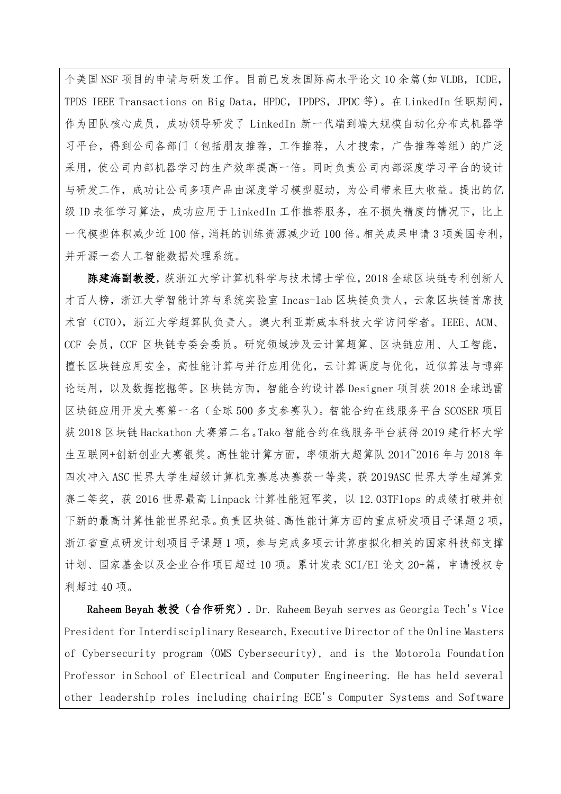个美国 NSF 项目的申请与研发工作。目前已发表国际高水平论文 10 余篇(如 VLDB, ICDE, TPDS IEEE Transactions on Big Data, HPDC, IPDPS, JPDC 等)。在 LinkedIn 任职期间, 作为团队核心成员, 成功领导研发了 LinkedIn 新一代端到端大规模自动化分布式机器学 习平台,得到公司各部门(包括朋友推荐,工作推荐,人才搜索,广告推荐等组)的广泛 采用, 使公司内部机器学习的生产效率提高一倍。同时负责公司内部深度学习平台的设计 与研发工作,成功让公司多项产品由深度学习模型驱动,为公司带来巨大收益。提出的亿 级 ID 表征学习算法, 成功应用于 LinkedIn 工作推荐服务, 在不损失精度的情况下, 比上 一代模型体积减少近100倍,消耗的训练资源减少近100倍。相关成果申请3项美国专利, 并开源一套人工智能数据处理系统。

陈建海副教授,获浙江大学计算机科学与技术博士学位,2018全球区块链专利创新人 才百人榜, 浙江大学智能计算与系统实验室 Incas-lab 区块链负责人, 云象区块链首席技 术官 (CTO), 浙江大学超算队负责人。澳大利亚斯威本科技大学访问学者。IEEE、ACM、 CCF 会员, CCF 区块链专委会委员。研究领域涉及云计算超算、区块链应用、人工智能, 擅长区块链应用安全,高性能计算与并行应用优化,云计算调度与优化,近似算法与博弈 论运用,以及数据挖掘等。区块链方面,智能合约设计器 Designer 项目获 2018 全球迅雷 区块链应用开发大赛第一名 (全球 500 多支参赛队)。智能合约在线服务平台 SCOSER 项目 获 2018 区块链 Hackathon 大赛第二名。Tako 智能合约在线服务平台获得 2019 建行杯大学 生互联网+创新创业大赛银奖。高性能计算方面,率领浙大超算队 2014~2016年与 2018年 四次冲入 ASC 世界大学生超级计算机竞赛总决赛获一等奖, 获 2019ASC 世界大学生超算竞 赛二等奖, 获 2016 世界最高 Linpack 计算性能冠军奖, 以 12.03TF1ops 的成绩打破并创 下新的最高计算性能世界纪录。负责区块链、高性能计算方面的重点研发项目子课题2项, 浙江省重点研发计划项目子课题1项,参与完成多项云计算虚拟化相关的国家科技部支撑 计划、国家基金以及企业合作项目超过10项。累计发表 SCI/EI 论文 20+篇, 申请授权专 利超过 40 项。

Raheem Beyah 教授 (合作研究). Dr. Raheem Beyah serves as Georgia Tech's Vice President for Interdisciplinary Research, Executive Director of the Online Masters of Cybersecurity program (OMS Cybersecurity), and is the Motorola Foundation Professor in School of Electrical and Computer Engineering. He has held several other leadership roles including chairing ECE's Computer Systems and Software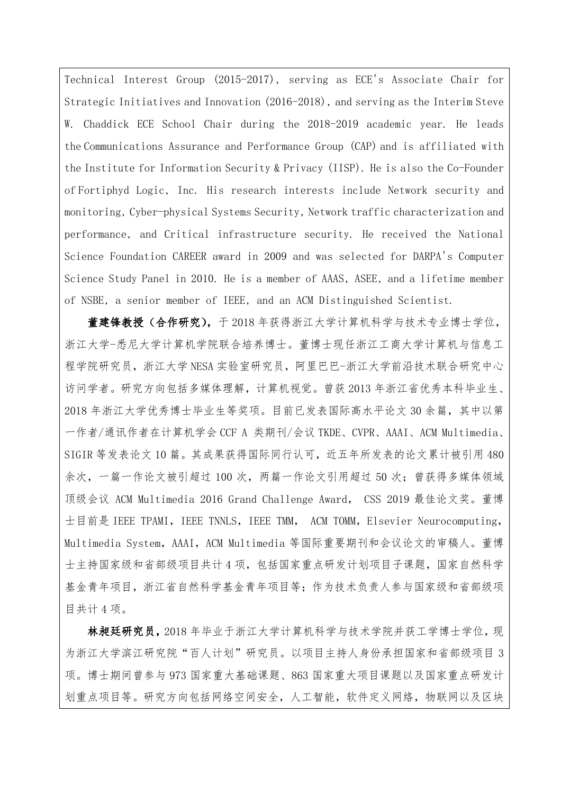Technical Interest Group (2015-2017), serving as ECE's Associate Chair for Strategic Initiatives and Innovation (2016-2018), and serving as the Interim Steve Chaddick ECE School Chair during the 2018-2019 academic year. He leads W. the Communications Assurance and Performance Group (CAP) and is affiliated with the Institute for Information Security & Privacy (IISP). He is also the Co-Founder of Fortiphyd Logic, Inc. His research interests include Network security and monitoring, Cyber-physical Systems Security, Network traffic characterization and performance, and Critical infrastructure security. He received the National Science Foundation CAREER award in 2009 and was selected for DARPA's Computer Science Study Panel in 2010. He is a member of AAAS, ASEE, and a lifetime member of NSBE, a senior member of IEEE, and an ACM Distinguished Scientist.

董建锋教授(合作研究),于2018年获得浙江大学计算机科学与技术专业博士学位, 浙江大学-悉尼大学计算机学院联合培养博士。董博士现任浙江工商大学计算机与信息工 程学院研究员, 浙江大学 NESA 实验室研究员, 阿里巴巴-浙江大学前沿技术联合研究中心 访问学者。研究方向包括多媒体理解, 计算机视觉。曾获2013年浙江省优秀本科毕业生、 2018年浙江大学优秀博士毕业生等奖项。目前已发表国际高水平论文30余篇,其中以第 一作者/通讯作者在计算机学会 CCF A 类期刊/会议 TKDE、CVPR、AAAI、ACM Multimedia、 SIGIR 等发表论文 10 篇。其成果获得国际同行认可, 近五年所发表的论文累计被引用 480 余次,一篇一作论文被引超过100次,两篇一作论文引用超过50次;曾获得多媒体领域 顶级会议 ACM Multimedia 2016 Grand Challenge Award, CSS 2019 最佳论文奖。董博 士目前是 IEEE TPAMI, IEEE TNNLS, IEEE TMM, ACM TOMM, Elsevier Neurocomputing, Multimedia System, AAAI, ACM Multimedia 等国际重要期刊和会议论文的审稿人。董博 士主持国家级和省部级项目共计4项,包括国家重点研发计划项目子课题,国家自然科学 基金青年项目, 浙江省自然科学基金青年项目等; 作为技术负责人参与国家级和省部级项 目共计4项。

林昶廷研究员, 2018年毕业于浙江大学计算机科学与技术学院并获工学博士学位, 现 为浙江大学滨江研究院"百人计划"研究员。以项目主持人身份承担国家和省部级项目 3 项。博士期间曾参与973国家重大基础课题、863国家重大项目课题以及国家重点研发计 划重点项目等。研究方向包括网络空间安全, 人工智能, 软件定义网络, 物联网以及区块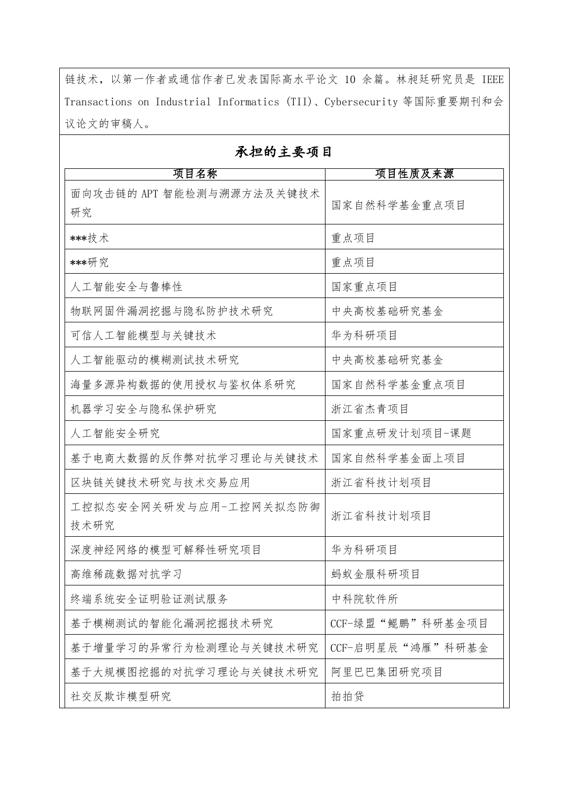链技术, 以第一作者或通信作者已发表国际高水平论文 10 余篇。林昶廷研究员是 IEEE Transactions on Industrial Informatics (TII)、Cybersecurity 等国际重要期刊和会 议论文的审稿人。

## 项目名称 项目性质及来源 面向攻击链的 APT 智能检测与溯源方法及关键技术 国家自然科学基金重点项目 研究 \*\*\*技术 重点项目 \*\*\*研究 重点项目 人工智能安全与鲁棒性 国家重点项目 物联网固件漏洞挖掘与隐私防护技术研究 中央高校基础研究基金 可信人工智能模型与关键技术 华为科研项目 人工智能驱动的模糊测试技术研究 中央高校基础研究基金 海量多源异构数据的使用授权与鉴权体系研究 国家自然科学基金重点项目 机器学习安全与隐私保护研究 浙江省杰青项目 国家重点研发计划项目-课题 人工智能安全研究 基于电商大数据的反作弊对抗学习理论与关键技术 国家自然科学基金面上项目 区块链关键技术研究与技术交易应用 浙江省科技计划项目 工控拟态安全网关研发与应用-工控网关拟态防御 浙江省科技计划项目 技术研究 深度神经网络的模型可解释性研究项目 华为科研项目 高维稀疏数据对抗学习 蚂蚁金服科研项目 终端系统安全证明验证测试服务 中科院软件所 基于模糊测试的智能化漏洞挖掘技术研究 CCF-绿盟"鲲鹏"科研基金项目 基于增量学习的异常行为检测理论与关键技术研究 CCF-启明星辰"鸿雁"科研基金 基于大规模图挖掘的对抗学习理论与关键技术研究 阿里巴巴集团研究项目

拍拍贷

社交反欺诈模型研究

## 承担的主要项目